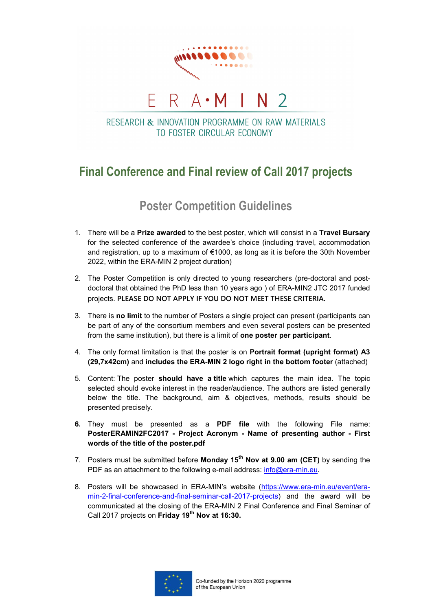

### RESEARCH & INNOVATION PROGRAMME ON RAW MATERIALS TO FOSTER CIRCUI AR FCONOMY

# **Final Conference and Final review of Call 2017 projects**

## **Poster Competition Guidelines**

- 1. There will be a **Prize awarded** to the best poster, which will consist in a **Travel Bursary** for the selected conference of the awardee's choice (including travel, accommodation and registration, up to a maximum of €1000, as long as it is before the 30th November 2022, within the ERA-MIN 2 project duration)
- 2. The Poster Competition is only directed to young researchers (pre-doctoral and postdoctoral that obtained the PhD less than 10 years ago ) of ERA-MIN2 JTC 2017 funded projects. **PLEASE DO NOT APPLY IF YOU DO NOT MEET THESE CRITERIA.**
- 3. There is **no limit** to the number of Posters a single project can present (participants can be part of any of the consortium members and even several posters can be presented from the same institution), but there is a limit of **one poster per participant**.
- 4. The only format limitation is that the poster is on **Portrait format (upright format) A3 (29,7x42cm)** and **includes the ERA-MIN 2 logo right in the bottom footer** (attached)
- 5. Content: The poster **should have a title** which captures the main idea. The topic selected should evoke interest in the reader/audience. The authors are listed generally below the title. The background, aim & objectives, methods, results should be presented precisely.
- **6.** They must be presented as a **PDF file** with the following File name: **PosterERAMIN2FC2017 - Project Acronym - Name of presenting author - First words of the title of the poster.pdf**
- 7. Posters must be submitted before **Monday 15th Nov at 9.00 am (CET)** by sending the PDF as an attachment to the following e-mail address: [info@era-min.eu.](mailto:info@era-min.eu)
- 8. Posters will be showcased in ERA-MIN's website [\(https://www.era-min.eu/event/era](https://www.era-min.eu/event/era-min-2-final-conference-and-final-seminar-call-2017-projects)[min-2-final-conference-and-final-seminar-call-2017-projects\)](https://www.era-min.eu/event/era-min-2-final-conference-and-final-seminar-call-2017-projects) and the award will be communicated at the closing of the ERA-MIN 2 Final Conference and Final Seminar of Call 2017 projects on **Friday 19th Nov at 16:30.**

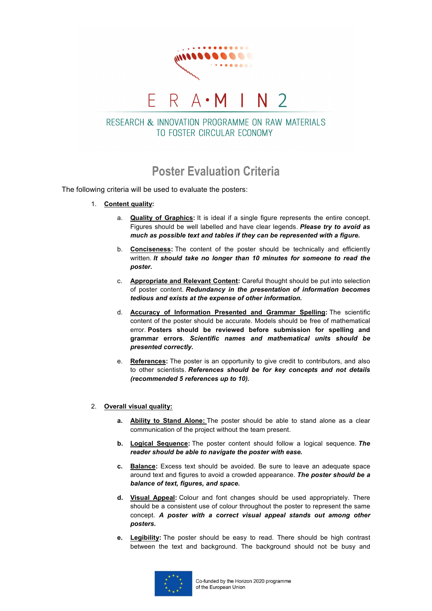

#### RESEARCH & INNOVATION PROGRAMME ON RAW MATERIALS TO FOSTER CIRCUI AR FCONOMY

## **Poster Evaluation Criteria**

The following criteria will be used to evaluate the posters:

⊢

- 1. **Content quality:**
	- a. **Quality of Graphics:** It is ideal if a single figure represents the entire concept. Figures should be well labelled and have clear legends. *Please try to avoid as much as possible text and tables if they can be represented with a figure.*
	- b. **Conciseness:** The content of the poster should be technically and efficiently written. *It should take no longer than 10 minutes for someone to read the poster.*
	- c. **Appropriate and Relevant Content:** Careful thought should be put into selection of poster content. *Redundancy in the presentation of information becomes tedious and exists at the expense of other information.*
	- d. **Accuracy of Information Presented and Grammar Spelling:** The scientific content of the poster should be accurate. Models should be free of mathematical error. **Posters should be reviewed before submission for spelling and grammar errors**. *Scientific names and mathematical units should be presented correctly.*
	- e. **References:** The poster is an opportunity to give credit to contributors, and also to other scientists. *References should be for key concepts and not details (recommended 5 references up to 10).*
- 2. **Overall visual quality:**
	- **a. Ability to Stand Alone:** The poster should be able to stand alone as a clear communication of the project without the team present.
	- **b. Logical Sequence:** The poster content should follow a logical sequence. *The reader should be able to navigate the poster with ease.*
	- **c. Balance:** Excess text should be avoided. Be sure to leave an adequate space around text and figures to avoid a crowded appearance. *The poster should be a balance of text, figures, and space.*
	- **d. Visual Appeal:** Colour and font changes should be used appropriately. There should be a consistent use of colour throughout the poster to represent the same concept. *A poster with a correct visual appeal stands out among other posters.*
	- **e. Legibility:** The poster should be easy to read. There should be high contrast between the text and background. The background should not be busy and